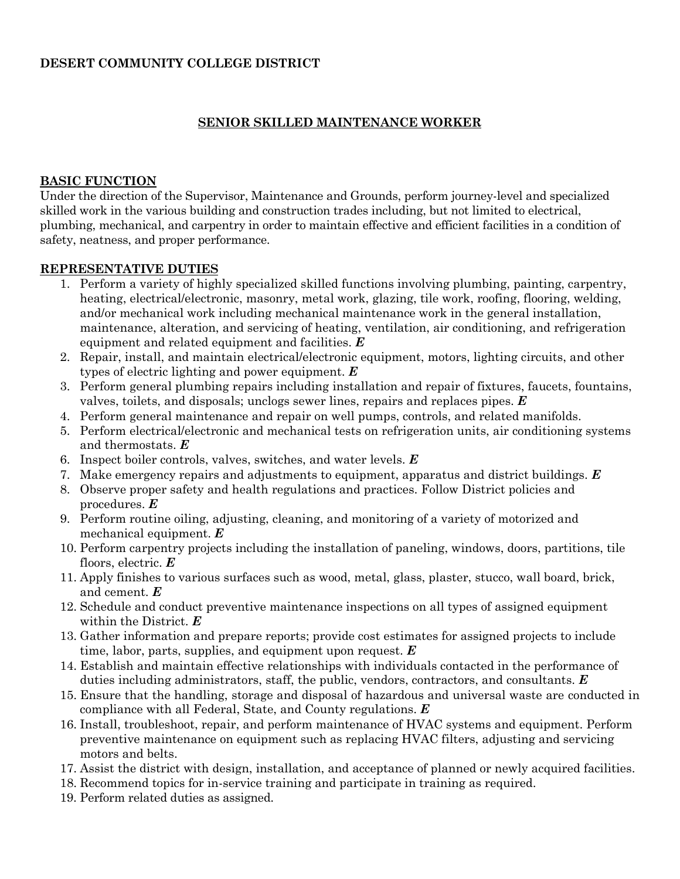#### **DESERT COMMUNITY COLLEGE DISTRICT**

#### **SENIOR SKILLED MAINTENANCE WORKER**

#### **BASIC FUNCTION**

Under the direction of the Supervisor, Maintenance and Grounds, perform journey-level and specialized skilled work in the various building and construction trades including, but not limited to electrical, plumbing, mechanical, and carpentry in order to maintain effective and efficient facilities in a condition of safety, neatness, and proper performance.

#### **REPRESENTATIVE DUTIES**

- 1. Perform a variety of highly specialized skilled functions involving plumbing, painting, carpentry, heating, electrical/electronic, masonry, metal work, glazing, tile work, roofing, flooring, welding, and/or mechanical work including mechanical maintenance work in the general installation, maintenance, alteration, and servicing of heating, ventilation, air conditioning, and refrigeration equipment and related equipment and facilities. *E*
- 2. Repair, install, and maintain electrical/electronic equipment, motors, lighting circuits, and other types of electric lighting and power equipment. *E*
- 3. Perform general plumbing repairs including installation and repair of fixtures, faucets, fountains, valves, toilets, and disposals; unclogs sewer lines, repairs and replaces pipes. *E*
- 4. Perform general maintenance and repair on well pumps, controls, and related manifolds.
- 5. Perform electrical/electronic and mechanical tests on refrigeration units, air conditioning systems and thermostats. *E*
- 6. Inspect boiler controls, valves, switches, and water levels. *E*
- 7. Make emergency repairs and adjustments to equipment, apparatus and district buildings. *E*
- 8. Observe proper safety and health regulations and practices. Follow District policies and procedures. *E*
- 9. Perform routine oiling, adjusting, cleaning, and monitoring of a variety of motorized and mechanical equipment. *E*
- 10. Perform carpentry projects including the installation of paneling, windows, doors, partitions, tile floors, electric. *E*
- 11. Apply finishes to various surfaces such as wood, metal, glass, plaster, stucco, wall board, brick, and cement. *E*
- 12. Schedule and conduct preventive maintenance inspections on all types of assigned equipment within the District. *E*
- 13. Gather information and prepare reports; provide cost estimates for assigned projects to include time, labor, parts, supplies, and equipment upon request. *E*
- 14. Establish and maintain effective relationships with individuals contacted in the performance of duties including administrators, staff, the public, vendors, contractors, and consultants. *E*
- 15. Ensure that the handling, storage and disposal of hazardous and universal waste are conducted in compliance with all Federal, State, and County regulations. *E*
- 16. Install, troubleshoot, repair, and perform maintenance of HVAC systems and equipment. Perform preventive maintenance on equipment such as replacing HVAC filters, adjusting and servicing motors and belts.
- 17. Assist the district with design, installation, and acceptance of planned or newly acquired facilities.
- 18. Recommend topics for in-service training and participate in training as required.
- 19. Perform related duties as assigned.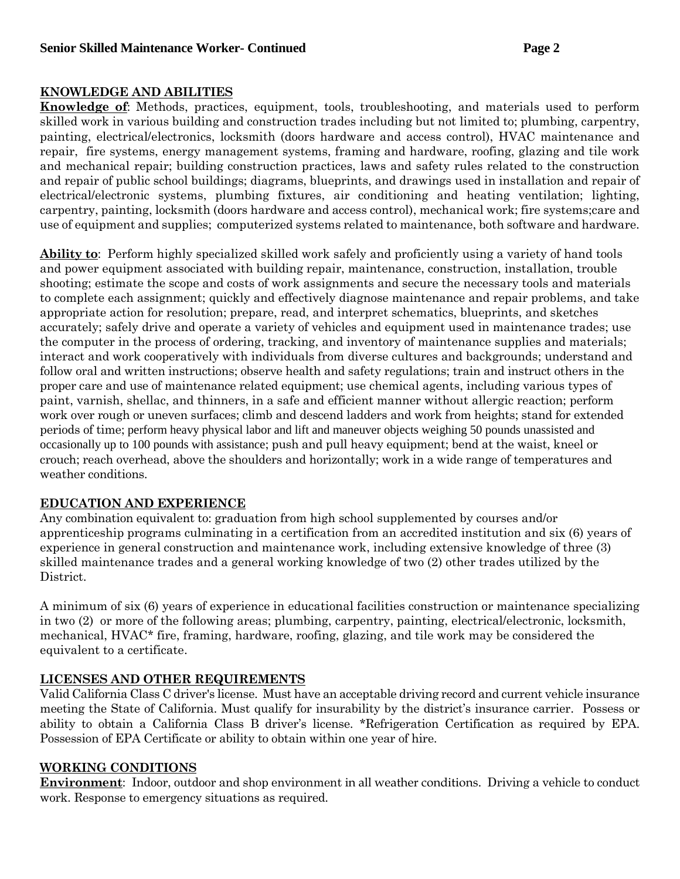### **KNOWLEDGE AND ABILITIES**

**Knowledge of**: Methods, practices, equipment, tools, troubleshooting, and materials used to perform skilled work in various building and construction trades including but not limited to; plumbing, carpentry, painting, electrical/electronics, locksmith (doors hardware and access control), HVAC maintenance and repair, fire systems, energy management systems, framing and hardware, roofing, glazing and tile work and mechanical repair; building construction practices, laws and safety rules related to the construction and repair of public school buildings; diagrams, blueprints, and drawings used in installation and repair of electrical/electronic systems, plumbing fixtures, air conditioning and heating ventilation; lighting, carpentry, painting, locksmith (doors hardware and access control), mechanical work; fire systems;care and use of equipment and supplies; computerized systems related to maintenance, both software and hardware.

**Ability to**: Perform highly specialized skilled work safely and proficiently using a variety of hand tools and power equipment associated with building repair, maintenance, construction, installation, trouble shooting; estimate the scope and costs of work assignments and secure the necessary tools and materials to complete each assignment; quickly and effectively diagnose maintenance and repair problems, and take appropriate action for resolution; prepare, read, and interpret schematics, blueprints, and sketches accurately; safely drive and operate a variety of vehicles and equipment used in maintenance trades; use the computer in the process of ordering, tracking, and inventory of maintenance supplies and materials; interact and work cooperatively with individuals from diverse cultures and backgrounds; understand and follow oral and written instructions; observe health and safety regulations; train and instruct others in the proper care and use of maintenance related equipment; use chemical agents, including various types of paint, varnish, shellac, and thinners, in a safe and efficient manner without allergic reaction; perform work over rough or uneven surfaces; climb and descend ladders and work from heights; stand for extended periods of time; perform heavy physical labor and lift and maneuver objects weighing 50 pounds unassisted and occasionally up to 100 pounds with assistance; push and pull heavy equipment; bend at the waist, kneel or crouch; reach overhead, above the shoulders and horizontally; work in a wide range of temperatures and weather conditions.

### **EDUCATION AND EXPERIENCE**

Any combination equivalent to: graduation from high school supplemented by courses and/or apprenticeship programs culminating in a certification from an accredited institution and six (6) years of experience in general construction and maintenance work, including extensive knowledge of three (3) skilled maintenance trades and a general working knowledge of two (2) other trades utilized by the District.

A minimum of six (6) years of experience in educational facilities construction or maintenance specializing in two (2) or more of the following areas; plumbing, carpentry, painting, electrical/electronic, locksmith, mechanical, HVAC\* fire, framing, hardware, roofing, glazing, and tile work may be considered the equivalent to a certificate.

# **LICENSES AND OTHER REQUIREMENTS**

Valid California Class C driver's license. Must have an acceptable driving record and current vehicle insurance meeting the State of California. Must qualify for insurability by the district's insurance carrier. Possess or ability to obtain a California Class B driver's license. \*Refrigeration Certification as required by EPA. Possession of EPA Certificate or ability to obtain within one year of hire.

### **WORKING CONDITIONS**

**Environment**: Indoor, outdoor and shop environment in all weather conditions. Driving a vehicle to conduct work. Response to emergency situations as required.